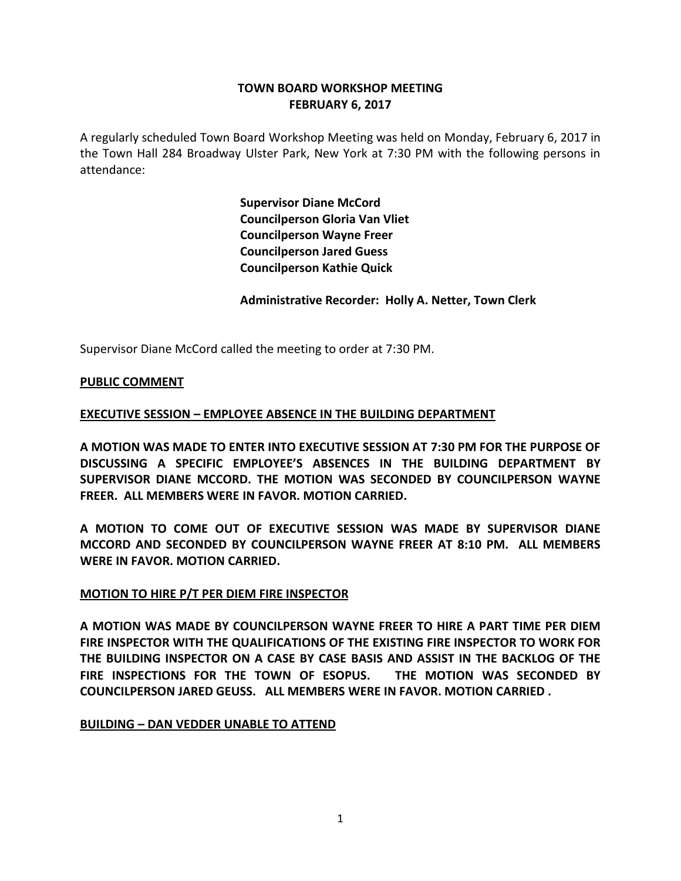# **TOWN BOARD WORKSHOP MEETING FEBRUARY 6, 2017**

A regularly scheduled Town Board Workshop Meeting was held on Monday, February 6, 2017 in the Town Hall 284 Broadway Ulster Park, New York at 7:30 PM with the following persons in attendance:

> **Supervisor Diane McCord Councilperson Gloria Van Vliet Councilperson Wayne Freer Councilperson Jared Guess Councilperson Kathie Quick**

**Administrative Recorder: Holly A. Netter, Town Clerk**

Supervisor Diane McCord called the meeting to order at 7:30 PM.

# **PUBLIC COMMENT**

### **EXECUTIVE SESSION – EMPLOYEE ABSENCE IN THE BUILDING DEPARTMENT**

**A MOTION WAS MADE TO ENTER INTO EXECUTIVE SESSION AT 7:30 PM FOR THE PURPOSE OF DISCUSSING A SPECIFIC EMPLOYEE'S ABSENCES IN THE BUILDING DEPARTMENT BY SUPERVISOR DIANE MCCORD. THE MOTION WAS SECONDED BY COUNCILPERSON WAYNE FREER. ALL MEMBERS WERE IN FAVOR. MOTION CARRIED.**

**A MOTION TO COME OUT OF EXECUTIVE SESSION WAS MADE BY SUPERVISOR DIANE MCCORD AND SECONDED BY COUNCILPERSON WAYNE FREER AT 8:10 PM. ALL MEMBERS WERE IN FAVOR. MOTION CARRIED.**

### **MOTION TO HIRE P/T PER DIEM FIRE INSPECTOR**

**A MOTION WAS MADE BY COUNCILPERSON WAYNE FREER TO HIRE A PART TIME PER DIEM FIRE INSPECTOR WITH THE QUALIFICATIONS OF THE EXISTING FIRE INSPECTOR TO WORK FOR THE BUILDING INSPECTOR ON A CASE BY CASE BASIS AND ASSIST IN THE BACKLOG OF THE FIRE INSPECTIONS FOR THE TOWN OF ESOPUS. THE MOTION WAS SECONDED BY COUNCILPERSON JARED GEUSS. ALL MEMBERS WERE IN FAVOR. MOTION CARRIED .**

### **BUILDING – DAN VEDDER UNABLE TO ATTEND**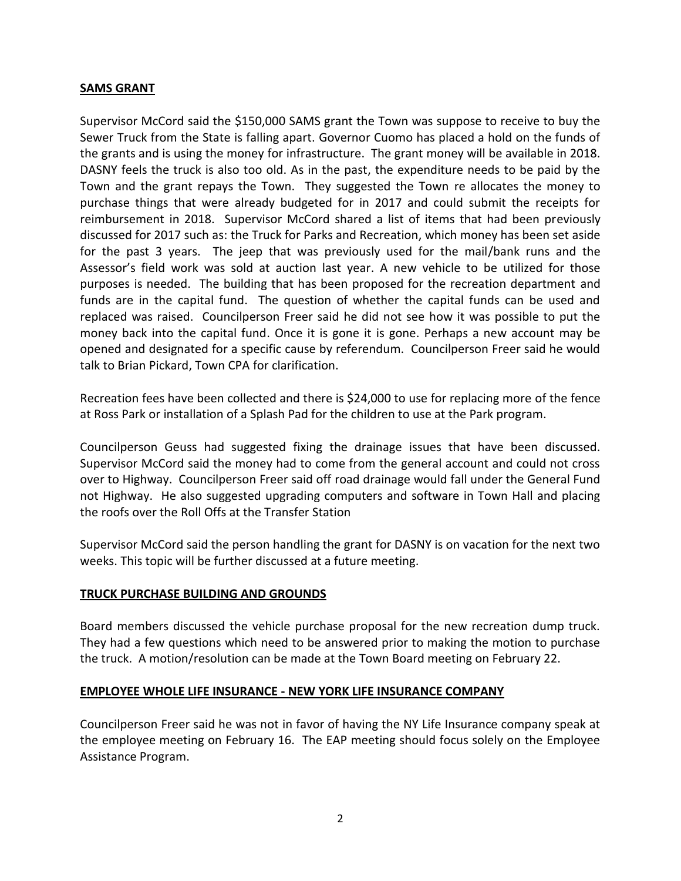# **SAMS GRANT**

Supervisor McCord said the \$150,000 SAMS grant the Town was suppose to receive to buy the Sewer Truck from the State is falling apart. Governor Cuomo has placed a hold on the funds of the grants and is using the money for infrastructure. The grant money will be available in 2018. DASNY feels the truck is also too old. As in the past, the expenditure needs to be paid by the Town and the grant repays the Town. They suggested the Town re allocates the money to purchase things that were already budgeted for in 2017 and could submit the receipts for reimbursement in 2018. Supervisor McCord shared a list of items that had been previously discussed for 2017 such as: the Truck for Parks and Recreation, which money has been set aside for the past 3 years. The jeep that was previously used for the mail/bank runs and the Assessor's field work was sold at auction last year. A new vehicle to be utilized for those purposes is needed. The building that has been proposed for the recreation department and funds are in the capital fund. The question of whether the capital funds can be used and replaced was raised. Councilperson Freer said he did not see how it was possible to put the money back into the capital fund. Once it is gone it is gone. Perhaps a new account may be opened and designated for a specific cause by referendum. Councilperson Freer said he would talk to Brian Pickard, Town CPA for clarification.

Recreation fees have been collected and there is \$24,000 to use for replacing more of the fence at Ross Park or installation of a Splash Pad for the children to use at the Park program.

Councilperson Geuss had suggested fixing the drainage issues that have been discussed. Supervisor McCord said the money had to come from the general account and could not cross over to Highway. Councilperson Freer said off road drainage would fall under the General Fund not Highway. He also suggested upgrading computers and software in Town Hall and placing the roofs over the Roll Offs at the Transfer Station

Supervisor McCord said the person handling the grant for DASNY is on vacation for the next two weeks. This topic will be further discussed at a future meeting.

# **TRUCK PURCHASE BUILDING AND GROUNDS**

Board members discussed the vehicle purchase proposal for the new recreation dump truck. They had a few questions which need to be answered prior to making the motion to purchase the truck. A motion/resolution can be made at the Town Board meeting on February 22.

# **EMPLOYEE WHOLE LIFE INSURANCE - NEW YORK LIFE INSURANCE COMPANY**

Councilperson Freer said he was not in favor of having the NY Life Insurance company speak at the employee meeting on February 16. The EAP meeting should focus solely on the Employee Assistance Program.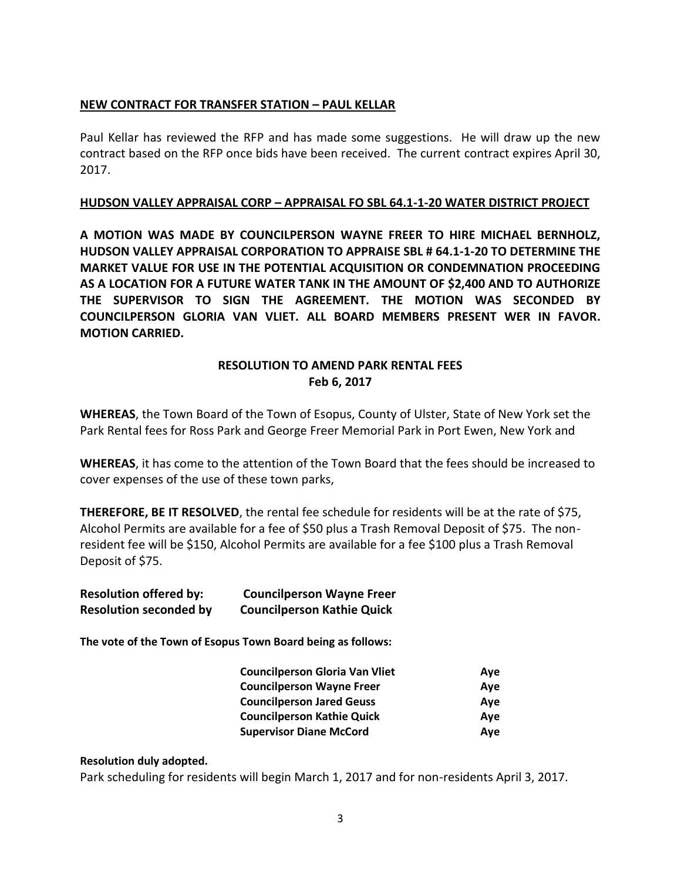# **NEW CONTRACT FOR TRANSFER STATION – PAUL KELLAR**

Paul Kellar has reviewed the RFP and has made some suggestions. He will draw up the new contract based on the RFP once bids have been received. The current contract expires April 30, 2017.

# **HUDSON VALLEY APPRAISAL CORP – APPRAISAL FO SBL 64.1-1-20 WATER DISTRICT PROJECT**

**A MOTION WAS MADE BY COUNCILPERSON WAYNE FREER TO HIRE MICHAEL BERNHOLZ, HUDSON VALLEY APPRAISAL CORPORATION TO APPRAISE SBL # 64.1-1-20 TO DETERMINE THE MARKET VALUE FOR USE IN THE POTENTIAL ACQUISITION OR CONDEMNATION PROCEEDING AS A LOCATION FOR A FUTURE WATER TANK IN THE AMOUNT OF \$2,400 AND TO AUTHORIZE THE SUPERVISOR TO SIGN THE AGREEMENT. THE MOTION WAS SECONDED BY COUNCILPERSON GLORIA VAN VLIET. ALL BOARD MEMBERS PRESENT WER IN FAVOR. MOTION CARRIED.**

# **RESOLUTION TO AMEND PARK RENTAL FEES Feb 6, 2017**

**WHEREAS**, the Town Board of the Town of Esopus, County of Ulster, State of New York set the Park Rental fees for Ross Park and George Freer Memorial Park in Port Ewen, New York and

**WHEREAS**, it has come to the attention of the Town Board that the fees should be increased to cover expenses of the use of these town parks,

**THEREFORE, BE IT RESOLVED**, the rental fee schedule for residents will be at the rate of \$75, Alcohol Permits are available for a fee of \$50 plus a Trash Removal Deposit of \$75. The nonresident fee will be \$150, Alcohol Permits are available for a fee \$100 plus a Trash Removal Deposit of \$75.

| <b>Resolution offered by:</b> | <b>Councilperson Wayne Freer</b>  |
|-------------------------------|-----------------------------------|
| <b>Resolution seconded by</b> | <b>Councilperson Kathie Quick</b> |

**The vote of the Town of Esopus Town Board being as follows:**

| <b>Councilperson Gloria Van Vliet</b> | Ave |
|---------------------------------------|-----|
| <b>Councilperson Wayne Freer</b>      | Ave |
| <b>Councilperson Jared Geuss</b>      | Ave |
| <b>Councilperson Kathie Quick</b>     | Ave |
| <b>Supervisor Diane McCord</b>        | Ave |

### **Resolution duly adopted.**

Park scheduling for residents will begin March 1, 2017 and for non-residents April 3, 2017.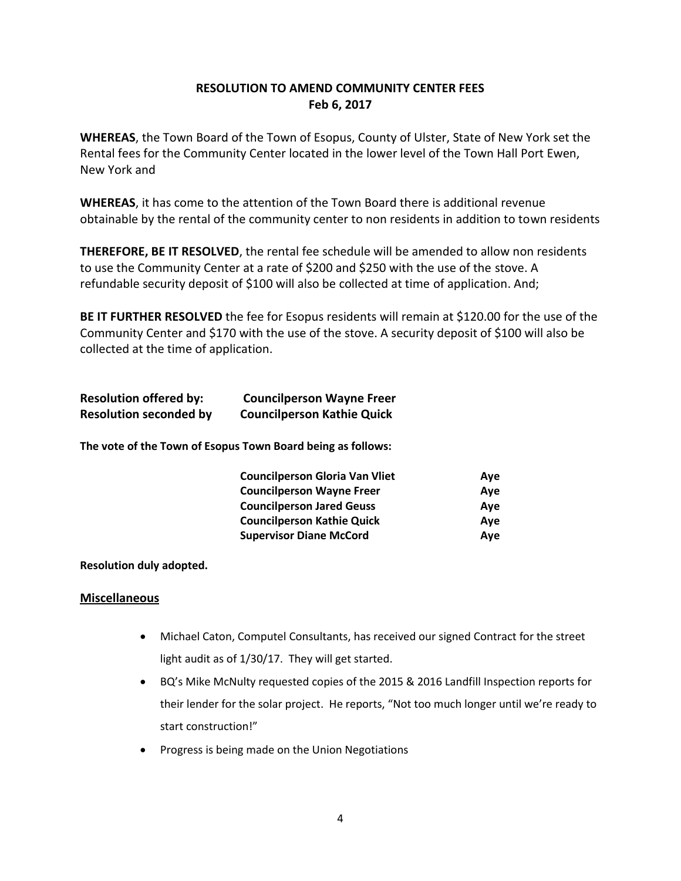# **RESOLUTION TO AMEND COMMUNITY CENTER FEES Feb 6, 2017**

**WHEREAS**, the Town Board of the Town of Esopus, County of Ulster, State of New York set the Rental fees for the Community Center located in the lower level of the Town Hall Port Ewen, New York and

**WHEREAS**, it has come to the attention of the Town Board there is additional revenue obtainable by the rental of the community center to non residents in addition to town residents

**THEREFORE, BE IT RESOLVED**, the rental fee schedule will be amended to allow non residents to use the Community Center at a rate of \$200 and \$250 with the use of the stove. A refundable security deposit of \$100 will also be collected at time of application. And;

**BE IT FURTHER RESOLVED** the fee for Esopus residents will remain at \$120.00 for the use of the Community Center and \$170 with the use of the stove. A security deposit of \$100 will also be collected at the time of application.

| <b>Resolution offered by:</b> | <b>Councilperson Wayne Freer</b>  |
|-------------------------------|-----------------------------------|
| <b>Resolution seconded by</b> | <b>Councilperson Kathie Quick</b> |

**The vote of the Town of Esopus Town Board being as follows:**

| <b>Councilperson Gloria Van Vliet</b> | Ave |
|---------------------------------------|-----|
| <b>Councilperson Wayne Freer</b>      | Ave |
| <b>Councilperson Jared Geuss</b>      | Ave |
| <b>Councilperson Kathie Quick</b>     | Ave |
| <b>Supervisor Diane McCord</b>        | Ave |

**Resolution duly adopted.**

# **Miscellaneous**

- Michael Caton, Computel Consultants, has received our signed Contract for the street light audit as of 1/30/17. They will get started.
- BQ's Mike McNulty requested copies of the 2015 & 2016 Landfill Inspection reports for their lender for the solar project. He reports, "Not too much longer until we're ready to start construction!"
- Progress is being made on the Union Negotiations